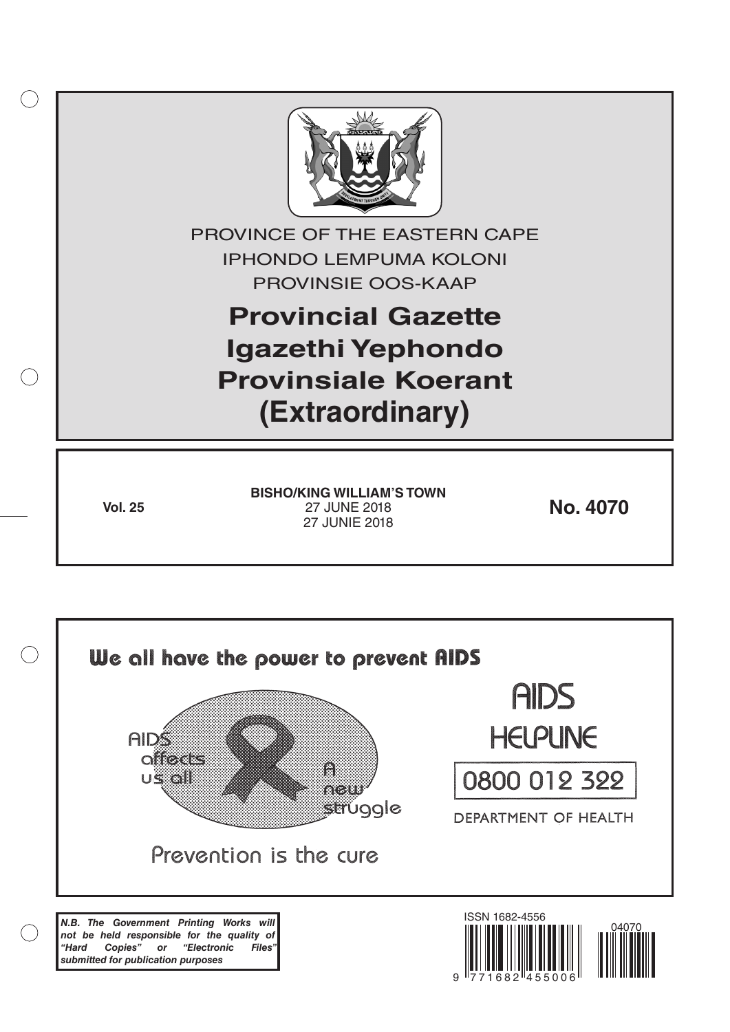

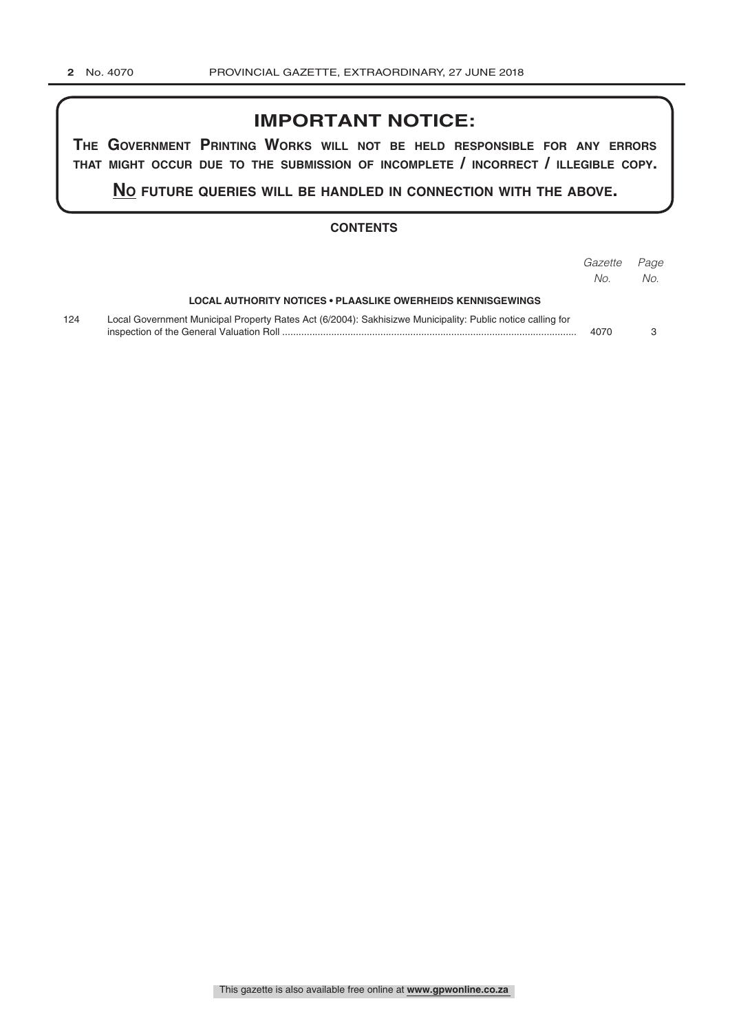# **IMPORTANT NOTICE:**

**The GovernmenT PrinTinG Works Will noT be held resPonsible for any errors ThaT miGhT occur due To The submission of incomPleTe / incorrecT / illeGible coPy.**

**no fuTure queries Will be handled in connecTion WiTh The above.**

### **CONTENTS**

|     |                                                                                                            | Gazette<br>No. | Page<br>No. |
|-----|------------------------------------------------------------------------------------------------------------|----------------|-------------|
|     | LOCAL AUTHORITY NOTICES • PLAASLIKE OWERHEIDS KENNISGEWINGS                                                |                |             |
| 124 | Local Government Municipal Property Rates Act (6/2004): Sakhisizwe Municipality: Public notice calling for | 4070           |             |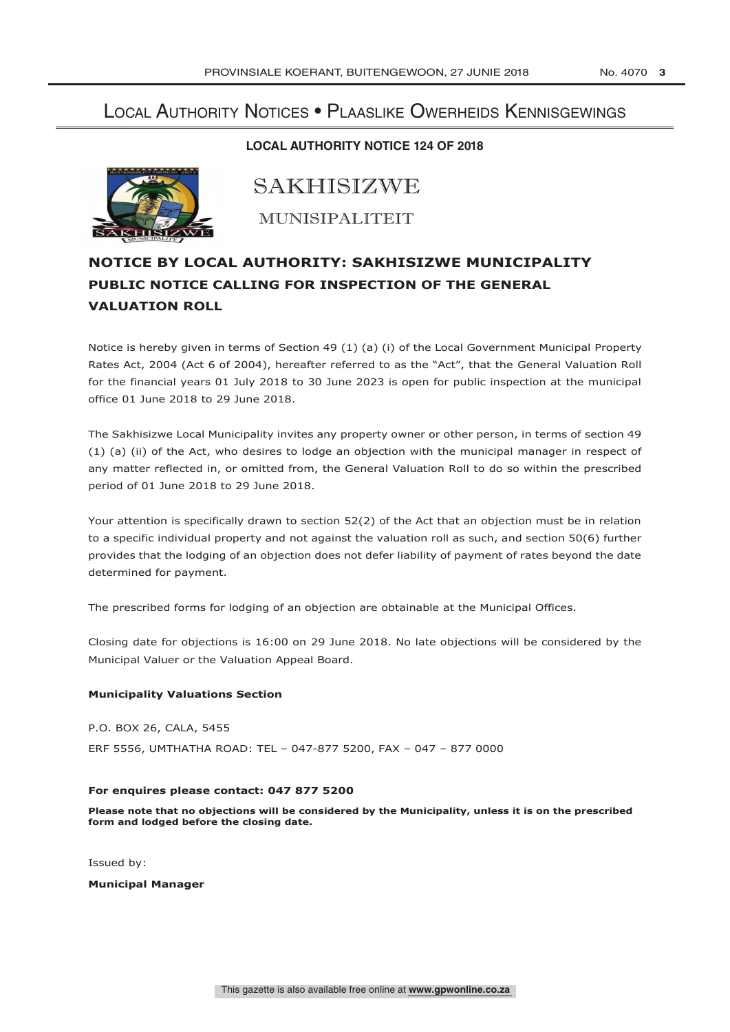## Local Authority Notices • Plaaslike Owerheids Kennisgewings

### **LOCAL AUTHORITY NOTICE 124 OF 2018**



SAKHISIZWE

MUNISIPALITEIT

## **NOTICE BY LOCAL AUTHORITY: SAKHISIZWE MUNICIPALITY PUBLIC NOTICE CALLING FOR INSPECTION OF THE GENERAL VALUATION ROLL**

Notice is hereby given in terms of Section 49 (1) (a) (i) of the Local Government Municipal Property Rates Act, 2004 (Act 6 of 2004), hereafter referred to as the "Act", that the General Valuation Roll for the financial years 01 July 2018 to 30 June 2023 is open for public inspection at the municipal office 01 June 2018 to 29 June 2018.

The Sakhisizwe Local Municipality invites any property owner or other person, in terms of section 49 (1) (a) (ii) of the Act, who desires to lodge an objection with the municipal manager in respect of any matter reflected in, or omitted from, the General Valuation Roll to do so within the prescribed period of 01 June 2018 to 29 June 2018.

Your attention is specifically drawn to section 52(2) of the Act that an objection must be in relation to a specific individual property and not against the valuation roll as such, and section 50(6) further provides that the lodging of an objection does not defer liability of payment of rates beyond the date determined for payment.

The prescribed forms for lodging of an objection are obtainable at the Municipal Offices.

Closing date for objections is 16:00 on 29 June 2018. No late objections will be considered by the Municipal Valuer or the Valuation Appeal Board.

#### **Municipality Valuations Section**

P.O. BOX 26, CALA, 5455 ERF 5556, UMTHATHA ROAD: TEL – 047-877 5200, FAX – 047 – 877 0000

#### **For enquires please contact: 047 877 5200**

**Please note that no objections will be considered by the Municipality, unless it is on the prescribed form and lodged before the closing date.**

Issued by:

**Municipal Manager**